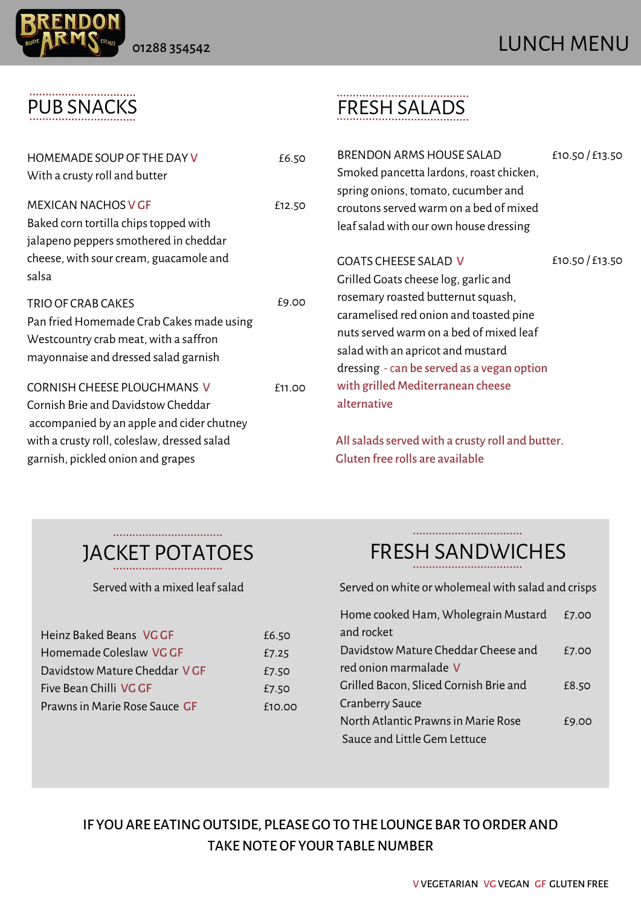

### PUB SNACKS

| HOMEMADE SOUP OF THE DAY V<br>With a crusty roll and butter                                                                                                                                               | £6.50  |
|-----------------------------------------------------------------------------------------------------------------------------------------------------------------------------------------------------------|--------|
| <b>MEXICAN NACHOS V GF</b><br>Baked corn tortilla chips topped with<br>jalapeno peppers smothered in cheddar<br>cheese, with sour cream, guacamole and<br>salsa                                           | £12.50 |
| TRIO OF CRAB CAKES<br>Pan fried Homemade Crab Cakes made using<br>Westcountry crab meat, with a saffron<br>mayonnaise and dressed salad garnish                                                           | £9.00  |
| <b>CORNISH CHEESE PLOUGHMANS V</b><br>Cornish Brie and Davidstow Cheddar<br>accompanied by an apple and cider chutney<br>with a crusty roll, coleslaw, dressed salad<br>garnish, pickled onion and grapes | £11.00 |

### FRESH SALADS

|    | £6.50<br>£12.50 | <b>BRENDON ARMS HOUSE SALAD</b><br>Smoked pancetta lardons, roast chicken,<br>spring onions, tomato, cucumber and<br>croutons served warm on a bed of mixed<br>leaf salad with our own house dressing                               | £10.50 / £13.50 |
|----|-----------------|-------------------------------------------------------------------------------------------------------------------------------------------------------------------------------------------------------------------------------------|-----------------|
| ገጀ | £9.00           | <b>GOATS CHEESE SALAD V</b><br>Grilled Goats cheese log, garlic and<br>rosemary roasted butternut squash,<br>caramelised red onion and toasted pine<br>nuts served warm on a bed of mixed leaf<br>salad with an apricot and mustard | £10.50/£13.50   |
|    | <b>f11.00</b>   | dressing - can be served as a vegan option<br>with grilled Mediterranean cheese<br>alternative                                                                                                                                      |                 |

All salads served with a crusty roll and butter. Gluten free rolls are available

# JACKET POTATOES

| Heinz Baked Beans VG GF       | £6.50  |
|-------------------------------|--------|
| Homemade Coleslaw VG GF       | £7.25  |
| Davidstow Mature Cheddar VGF  | £7.50  |
| Five Bean Chilli VG GF        | £7.50  |
| Prawns in Marie Rose Sauce GF | f10.00 |

#### FRESH SANDWICHES

Served with a mixed leaf salad Served on white or wholemeal with salad and crisps

| Home cooked Ham, Wholegrain Mustard    | £7.00 |
|----------------------------------------|-------|
| and rocket                             |       |
| Davidstow Mature Cheddar Cheese and    | £7.00 |
| red onion marmalade V                  |       |
| Grilled Bacon, Sliced Cornish Brie and | £8.50 |
| <b>Cranberry Sauce</b>                 |       |
| North Atlantic Prawns in Marie Rose    | £9.00 |
| Sauce and Little Gem Lettuce           |       |

#### IF YOU ARE EATING OUTSIDE, PLEASE GO TO THE LOUNGE BAR TO ORDER AND TAKENOTE OF YOUR TABLENUMBER